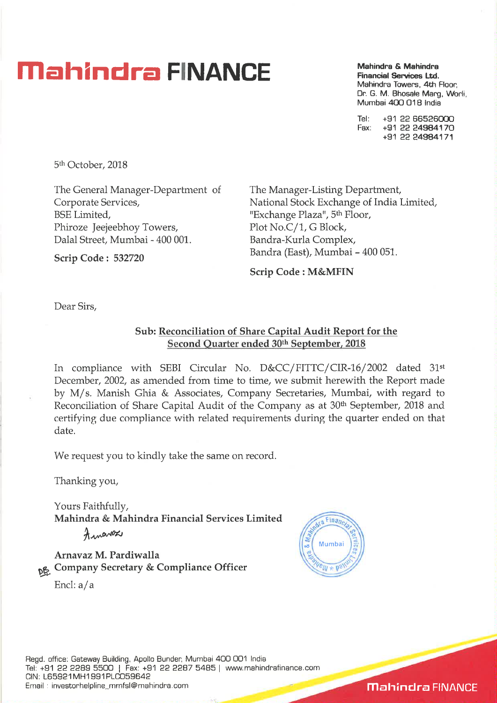## **Mahindra FINANCE** Mahindra & Mahindra *C* Mahindra *C* Mahindra *C* Mahindra *C*

**Financial Services Ltd.**  Mahindra Towers, 4th Floor Dr. G. M. Bhosale Marg, Worli, Mumbai 400 018 India

Tel: +91 22 66526000<br>Eax: +91 22 24984170 Fax: +91 22 24984170 +91 22 24984171

5th October, 2018

Scrip Code : 532720

The General Manager-Department of Corporate Services, BSE Limited, Phiroze Jeejeebhoy Towers, Dalal Street, Mumbai - 400 001.

The Manager-Listing Department, National Stock Exchange of India Limited, "Exchange Plaza", 5<sup>th</sup> Floor, Plot No.C/1, G Block, Bandra-Kurla Complex, Bandra (East), Mumbai - 400 051.

Scrip Code : M&MFIN

Dear Sirs,

## Sub: Reconciliation of Share Capital Audit Report for the Second Quarter ended 30th September, 2018

In compliance with SEBI Circular No. D&CC/FITTC/CIR-16/2002 dated 31st December, 2002, as amended from time to time, we submit herewith the Report made by M/ s. Manish Ghia & Associates, Company Secretaries, Mumbai, with regard to Reconciliation of Share Capital Audit of the Company as at 30<sup>th</sup> September, 2018 and certifying due compliance with related requirements during the quarter ended on that date.

We request you to kindly take the same on record.

Thanking you,

Yours Faithfully, Mahindra & Mahindra Financial Services Limited

Annavez

Arnavaz M. Pardiwalla pp, Company Secretary & Compliance Officer End: a/a



**Mahindra FINANCE**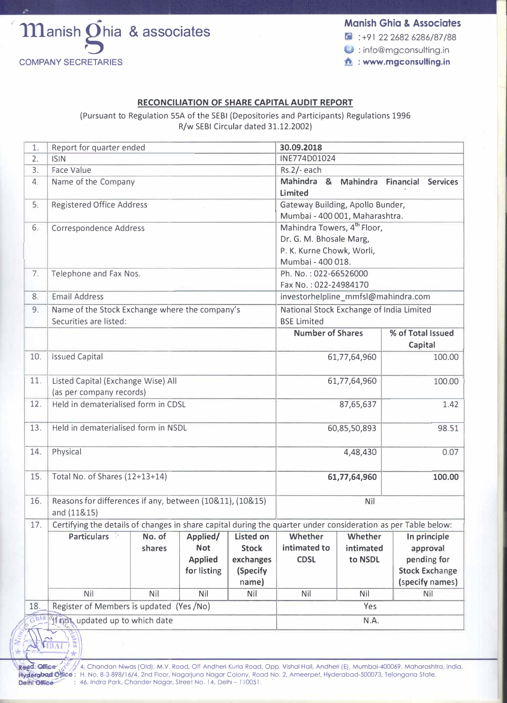

 $\cdot$  : +91 22 2682 6286/87/88

 $\bullet$  : info@mgconsulting.in

## **RECONCILIATION OF SHARE CAPITAL AUDIT REPORT**

(Pursuant to Regulation SSA of the SEBI (Depositories and Participants) Regulations 1996 R/w SEBI Circular dated 31.12.2002)

| 1.                                   | Report for quarter ended<br>30.09.2018         |                                                                                                               |                    |                  |                                         |                         |  |         |                       |
|--------------------------------------|------------------------------------------------|---------------------------------------------------------------------------------------------------------------|--------------------|------------------|-----------------------------------------|-------------------------|--|---------|-----------------------|
| 2.                                   | <b>ISIN</b>                                    |                                                                                                               |                    |                  | INE774D01024                            |                         |  |         |                       |
| 3.                                   | <b>Face Value</b>                              | Rs.2/-each                                                                                                    |                    |                  |                                         |                         |  |         |                       |
| 4.                                   | Name of the Company                            | Mahindra &                                                                                                    | Mahindra Financial |                  |                                         | <b>Services</b>         |  |         |                       |
| 5.                                   | <b>Registered Office Address</b>               | <b>Limited</b><br>Gateway Building, Apollo Bunder,                                                            |                    |                  |                                         |                         |  |         |                       |
|                                      |                                                | Mumbai - 400 001, Maharashtra.                                                                                |                    |                  |                                         |                         |  |         |                       |
| 6.                                   | Correspondence Address                         |                                                                                                               |                    |                  | Mahindra Towers, 4 <sup>th</sup> Floor, |                         |  |         |                       |
|                                      |                                                | Dr. G. M. Bhosale Marg,                                                                                       |                    |                  |                                         |                         |  |         |                       |
|                                      |                                                | P. K. Kurne Chowk, Worli,                                                                                     |                    |                  |                                         |                         |  |         |                       |
|                                      |                                                | Mumbai - 400 018.                                                                                             |                    |                  |                                         |                         |  |         |                       |
| 7.                                   | Telephone and Fax Nos.                         |                                                                                                               |                    |                  | Ph. No.: 022-66526000                   |                         |  |         |                       |
|                                      |                                                | Fax No.: 022-24984170                                                                                         |                    |                  |                                         |                         |  |         |                       |
| 8.                                   | <b>Email Address</b>                           | investorhelpline_mmfsl@mahindra.com                                                                           |                    |                  |                                         |                         |  |         |                       |
| 9.                                   | Name of the Stock Exchange where the company's | National Stock Exchange of India Limited                                                                      |                    |                  |                                         |                         |  |         |                       |
|                                      | Securities are listed:                         | <b>BSE Limited</b>                                                                                            |                    |                  |                                         |                         |  |         |                       |
|                                      |                                                |                                                                                                               |                    |                  |                                         | <b>Number of Shares</b> |  |         | % of Total Issued     |
|                                      |                                                |                                                                                                               |                    |                  |                                         | 61,77,64,960            |  | Capital |                       |
| 10.                                  | <b>Issued Capital</b>                          |                                                                                                               |                    | 100.00           |                                         |                         |  |         |                       |
| 11.                                  | Listed Capital (Exchange Wise) All             |                                                                                                               |                    |                  | 61,77,64,960                            |                         |  | 100.00  |                       |
|                                      | (as per company records)                       |                                                                                                               |                    |                  |                                         |                         |  |         |                       |
| 12.                                  | Held in dematerialised form in CDSL            | 87,65,637                                                                                                     |                    |                  | 1.42                                    |                         |  |         |                       |
| 13.                                  | Held in dematerialised form in NSDL            |                                                                                                               |                    |                  | 98.51<br>60,85,50,893                   |                         |  |         |                       |
|                                      |                                                |                                                                                                               |                    |                  |                                         |                         |  |         |                       |
| 14.                                  | Physical                                       |                                                                                                               |                    |                  | 0.07<br>4,48,430                        |                         |  |         |                       |
|                                      |                                                |                                                                                                               |                    |                  |                                         |                         |  |         |                       |
| 15.                                  | Total No. of Shares (12+13+14)                 |                                                                                                               |                    |                  | 61,77,64,960<br>100.00                  |                         |  |         |                       |
| 16.                                  |                                                | Reasons for differences if any, between (10&11), (10&15)<br>Nil                                               |                    |                  |                                         |                         |  |         |                       |
|                                      | and (11&15)                                    |                                                                                                               |                    |                  |                                         |                         |  |         |                       |
| 17.                                  |                                                | Certifying the details of changes in share capital during the quarter under consideration as per Table below: |                    |                  |                                         |                         |  |         |                       |
|                                      | Particulars <sup>1</sup>                       | No. of                                                                                                        | Applied/           | <b>Listed on</b> | Whether                                 | Whether                 |  |         | In principle          |
|                                      |                                                | shares                                                                                                        | <b>Not</b>         | <b>Stock</b>     | intimated to                            | intimated               |  |         | approval              |
|                                      |                                                |                                                                                                               | <b>Applied</b>     | exchanges        | <b>CDSL</b>                             | to NSDL                 |  |         | pending for           |
|                                      |                                                |                                                                                                               | for listing        | (Specify         |                                         |                         |  |         | <b>Stock Exchange</b> |
|                                      |                                                |                                                                                                               |                    | name)            |                                         |                         |  |         | (specify names)       |
|                                      | Nil                                            | <b>Nil</b>                                                                                                    | Nil                | Nil              | Nil                                     | Nil                     |  |         | Nil                   |
| 18.                                  | Register of Members is updated (Yes /No)       | Yes                                                                                                           |                    |                  |                                         |                         |  |         |                       |
| Ghia If not updated up to which date |                                                |                                                                                                               |                    |                  | N.A.                                    |                         |  |         |                       |
|                                      |                                                |                                                                                                               |                    |                  |                                         |                         |  |         |                       |
| ates                                 |                                                |                                                                                                               |                    |                  |                                         |                         |  |         |                       |

 $\frac{1}{4}$   $\left(\frac{MBAI}{MBAI}\right)^2$ 

e**gd: Office / / /** 4, Chandan Niwas (Old), M.V. Road, Off Andheri Kurla Road, Opp. Vishal Hall, Andheri (E), Mumbai-400069, Maharashtra, India.<br>**yderabad Office :** H. No. 8-3-898/16/4, 2nd Floor, Nagarjuna Nagar Colony, : 46. Indra Park, Chander Nagar, Street No. 14, Delhi - 110051.